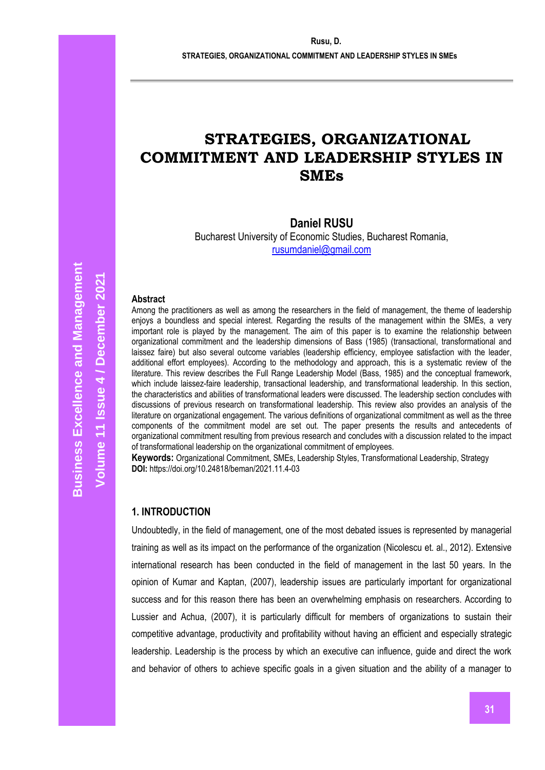# **STRATEGIES, ORGANIZATIONAL COMMITMENT AND LEADERSHIP STYLES IN SMEs**

## **Daniel RUSU**

Bucharest University of Economic Studies, Bucharest Romania, [rusumdaniel@gmail.com](mailto:rusumdaniel@gmail.com)

#### **Abstract**

Among the practitioners as well as among the researchers in the field of management, the theme of leadership enjoys a boundless and special interest. Regarding the results of the management within the SMEs, a very important role is played by the management. The aim of this paper is to examine the relationship between organizational commitment and the leadership dimensions of Bass (1985) (transactional, transformational and laissez faire) but also several outcome variables (leadership efficiency, employee satisfaction with the leader, additional effort employees). According to the methodology and approach, this is a systematic review of the literature. This review describes the Full Range Leadership Model (Bass, 1985) and the conceptual framework, which include laissez-faire leadership, transactional leadership, and transformational leadership. In this section, the characteristics and abilities of transformational leaders were discussed. The leadership section concludes with discussions of previous research on transformational leadership. This review also provides an analysis of the literature on organizational engagement. The various definitions of organizational commitment as well as the three components of the commitment model are set out. The paper presents the results and antecedents of organizational commitment resulting from previous research and concludes with a discussion related to the impact of transformational leadership on the organizational commitment of employees.

**Keywords:** Organizational Commitment, SMEs, Leadership Styles, Transformational Leadership, Strategy **DOI:** https://doi.org/10.24818/beman/2021.11.4-03

## **1. INTRODUCTION**

Undoubtedly, in the field of management, one of the most debated issues is represented by managerial training as well as its impact on the performance of the organization (Nicolescu et. al., 2012). Extensive international research has been conducted in the field of management in the last 50 years. In the opinion of Kumar and Kaptan, (2007), leadership issues are particularly important for organizational success and for this reason there has been an overwhelming emphasis on researchers. According to Lussier and Achua, (2007), it is particularly difficult for members of organizations to sustain their competitive advantage, productivity and profitability without having an efficient and especially strategic leadership. Leadership is the process by which an executive can influence, guide and direct the work and behavior of others to achieve specific goals in a given situation and the ability of a manager to

**Volume 11 Issue** 

**/ December 2021**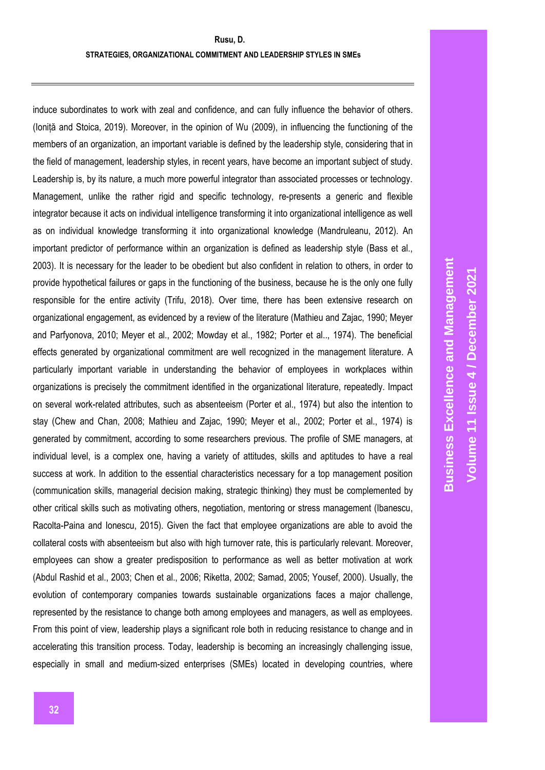induce subordinates to work with zeal and confidence, and can fully influence the behavior of others. (Ioniță and Stoica, 2019). Moreover, in the opinion of Wu (2009), in influencing the functioning of the members of an organization, an important variable is defined by the leadership style, considering that in the field of management, leadership styles, in recent years, have become an important subject of study. Leadership is, by its nature, a much more powerful integrator than associated processes or technology. Management, unlike the rather rigid and specific technology, re-presents a generic and flexible integrator because it acts on individual intelligence transforming it into organizational intelligence as well as on individual knowledge transforming it into organizational knowledge (Mandruleanu, 2012). An important predictor of performance within an organization is defined as leadership style (Bass et al., 2003). It is necessary for the leader to be obedient but also confident in relation to others, in order to provide hypothetical failures or gaps in the functioning of the business, because he is the only one fully responsible for the entire activity (Trifu, 2018). Over time, there has been extensive research on organizational engagement, as evidenced by a review of the literature (Mathieu and Zajac, 1990; Meyer and Parfyonova, 2010; Meyer et al., 2002; Mowday et al., 1982; Porter et al.., 1974). The beneficial effects generated by organizational commitment are well recognized in the management literature. A particularly important variable in understanding the behavior of employees in workplaces within organizations is precisely the commitment identified in the organizational literature, repeatedly. Impact on several work-related attributes, such as absenteeism (Porter et al., 1974) but also the intention to stay (Chew and Chan, 2008; Mathieu and Zajac, 1990; Meyer et al., 2002; Porter et al., 1974) is generated by commitment, according to some researchers previous. The profile of SME managers, at individual level, is a complex one, having a variety of attitudes, skills and aptitudes to have a real success at work. In addition to the essential characteristics necessary for a top management position (communication skills, managerial decision making, strategic thinking) they must be complemented by other critical skills such as motivating others, negotiation, mentoring or stress management (Ibanescu, Racolta-Paina and Ionescu, 2015). Given the fact that employee organizations are able to avoid the collateral costs with absenteeism but also with high turnover rate, this is particularly relevant. Moreover, employees can show a greater predisposition to performance as well as better motivation at work (Abdul Rashid et al., 2003; Chen et al., 2006; Riketta, 2002; Samad, 2005; Yousef, 2000). Usually, the evolution of contemporary companies towards sustainable organizations faces a major challenge, represented by the resistance to change both among employees and managers, as well as employees. From this point of view, leadership plays a significant role both in reducing resistance to change and in accelerating this transition process. Today, leadership is becoming an increasingly challenging issue, especially in small and medium-sized enterprises (SMEs) located in developing countries, where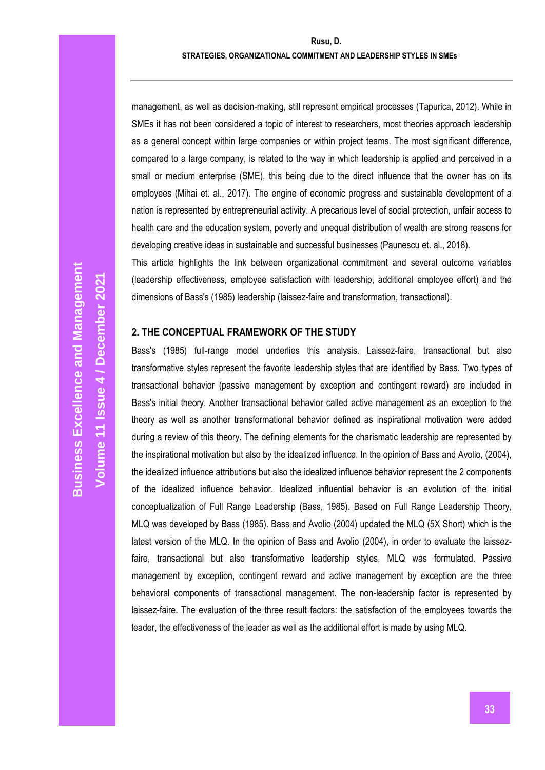management, as well as decision-making, still represent empirical processes (Tapurica, 2012). While in SMEs it has not been considered a topic of interest to researchers, most theories approach leadership as a general concept within large companies or within project teams. The most significant difference, compared to a large company, is related to the way in which leadership is applied and perceived in a small or medium enterprise (SME), this being due to the direct influence that the owner has on its employees (Mihai et. al., 2017). The engine of economic progress and sustainable development of a nation is represented by entrepreneurial activity. A precarious level of social protection, unfair access to health care and the education system, poverty and unequal distribution of wealth are strong reasons for developing creative ideas in sustainable and successful businesses (Paunescu et. al., 2018).

This article highlights the link between organizational commitment and several outcome variables (leadership effectiveness, employee satisfaction with leadership, additional employee effort) and the dimensions of Bass's (1985) leadership (laissez-faire and transformation, transactional).

#### **2. THE CONCEPTUAL FRAMEWORK OF THE STUDY**

Bass's (1985) full-range model underlies this analysis. Laissez-faire, transactional but also transformative styles represent the favorite leadership styles that are identified by Bass. Two types of transactional behavior (passive management by exception and contingent reward) are included in Bass's initial theory. Another transactional behavior called active management as an exception to the theory as well as another transformational behavior defined as inspirational motivation were added during a review of this theory. The defining elements for the charismatic leadership are represented by the inspirational motivation but also by the idealized influence. In the opinion of Bass and Avolio, (2004), the idealized influence attributions but also the idealized influence behavior represent the 2 components of the idealized influence behavior. Idealized influential behavior is an evolution of the initial conceptualization of Full Range Leadership (Bass, 1985). Based on Full Range Leadership Theory, MLQ was developed by Bass (1985). Bass and Avolio (2004) updated the MLQ (5X Short) which is the latest version of the MLQ. In the opinion of Bass and Avolio (2004), in order to evaluate the laissezfaire, transactional but also transformative leadership styles, MLQ was formulated. Passive management by exception, contingent reward and active management by exception are the three behavioral components of transactional management. The non-leadership factor is represented by laissez-faire. The evaluation of the three result factors: the satisfaction of the employees towards the leader, the effectiveness of the leader as well as the additional effort is made by using MLQ.

**Volume 11 Issue** 

**/ December 2021**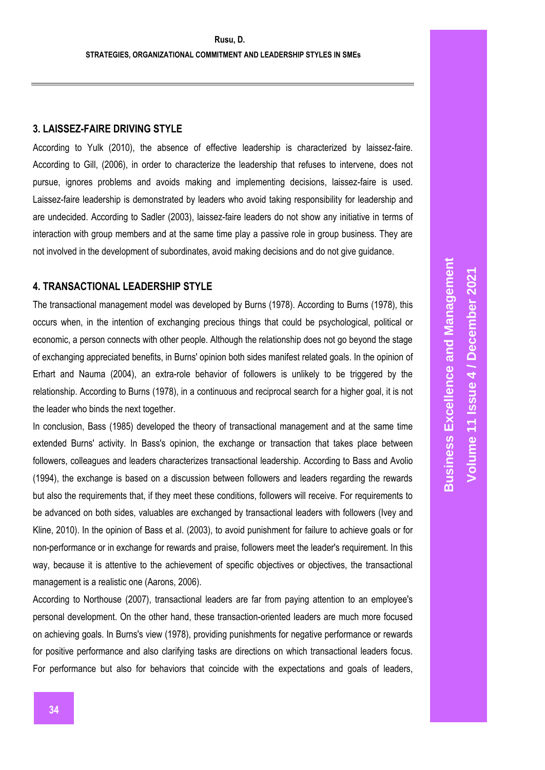## **3. LAISSEZ-FAIRE DRIVING STYLE**

According to Yulk (2010), the absence of effective leadership is characterized by laissez-faire. According to Gill, (2006), in order to characterize the leadership that refuses to intervene, does not pursue, ignores problems and avoids making and implementing decisions, laissez-faire is used. Laissez-faire leadership is demonstrated by leaders who avoid taking responsibility for leadership and are undecided. According to Sadler (2003), laissez-faire leaders do not show any initiative in terms of interaction with group members and at the same time play a passive role in group business. They are not involved in the development of subordinates, avoid making decisions and do not give guidance.

## **4. TRANSACTIONAL LEADERSHIP STYLE**

The transactional management model was developed by Burns (1978). According to Burns (1978), this occurs when, in the intention of exchanging precious things that could be psychological, political or economic, a person connects with other people. Although the relationship does not go beyond the stage of exchanging appreciated benefits, in Burns' opinion both sides manifest related goals. In the opinion of Erhart and Nauma (2004), an extra-role behavior of followers is unlikely to be triggered by the relationship. According to Burns (1978), in a continuous and reciprocal search for a higher goal, it is not the leader who binds the next together.

In conclusion, Bass (1985) developed the theory of transactional management and at the same time extended Burns' activity. In Bass's opinion, the exchange or transaction that takes place between followers, colleagues and leaders characterizes transactional leadership. According to Bass and Avolio (1994), the exchange is based on a discussion between followers and leaders regarding the rewards but also the requirements that, if they meet these conditions, followers will receive. For requirements to be advanced on both sides, valuables are exchanged by transactional leaders with followers (Ivey and Kline, 2010). In the opinion of Bass et al. (2003), to avoid punishment for failure to achieve goals or for non-performance or in exchange for rewards and praise, followers meet the leader's requirement. In this way, because it is attentive to the achievement of specific objectives or objectives, the transactional management is a realistic one (Aarons, 2006).

According to Northouse (2007), transactional leaders are far from paying attention to an employee's personal development. On the other hand, these transaction-oriented leaders are much more focused on achieving goals. In Burns's view (1978), providing punishments for negative performance or rewards for positive performance and also clarifying tasks are directions on which transactional leaders focus. For performance but also for behaviors that coincide with the expectations and goals of leaders,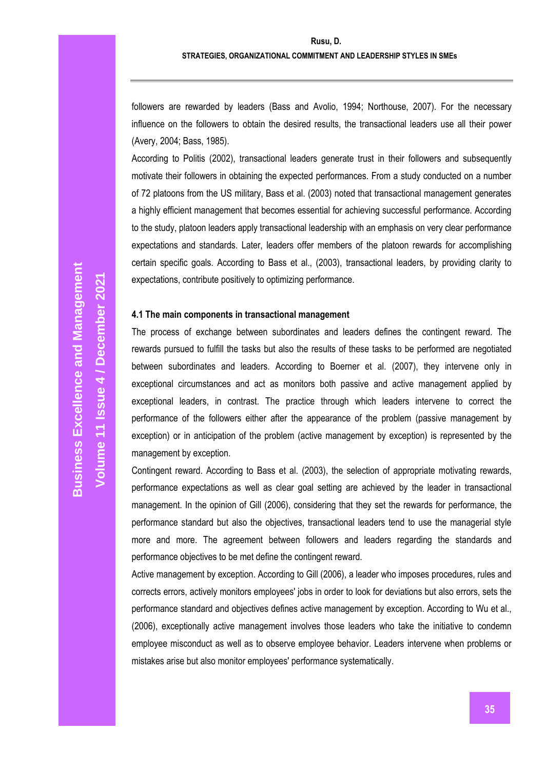followers are rewarded by leaders (Bass and Avolio, 1994; Northouse, 2007). For the necessary influence on the followers to obtain the desired results, the transactional leaders use all their power (Avery, 2004; Bass, 1985).

According to Politis (2002), transactional leaders generate trust in their followers and subsequently motivate their followers in obtaining the expected performances. From a study conducted on a number of 72 platoons from the US military, Bass et al. (2003) noted that transactional management generates a highly efficient management that becomes essential for achieving successful performance. According to the study, platoon leaders apply transactional leadership with an emphasis on very clear performance expectations and standards. Later, leaders offer members of the platoon rewards for accomplishing certain specific goals. According to Bass et al., (2003), transactional leaders, by providing clarity to expectations, contribute positively to optimizing performance.

#### **4.1 The main components in transactional management**

The process of exchange between subordinates and leaders defines the contingent reward. The rewards pursued to fulfill the tasks but also the results of these tasks to be performed are negotiated between subordinates and leaders. According to Boerner et al. (2007), they intervene only in exceptional circumstances and act as monitors both passive and active management applied by exceptional leaders, in contrast. The practice through which leaders intervene to correct the performance of the followers either after the appearance of the problem (passive management by exception) or in anticipation of the problem (active management by exception) is represented by the management by exception.

Contingent reward. According to Bass et al. (2003), the selection of appropriate motivating rewards, performance expectations as well as clear goal setting are achieved by the leader in transactional management. In the opinion of Gill (2006), considering that they set the rewards for performance, the performance standard but also the objectives, transactional leaders tend to use the managerial style more and more. The agreement between followers and leaders regarding the standards and performance objectives to be met define the contingent reward.

Active management by exception. According to Gill (2006), a leader who imposes procedures, rules and corrects errors, actively monitors employees' jobs in order to look for deviations but also errors, sets the performance standard and objectives defines active management by exception. According to Wu et al., (2006), exceptionally active management involves those leaders who take the initiative to condemn employee misconduct as well as to observe employee behavior. Leaders intervene when problems or mistakes arise but also monitor employees' performance systematically.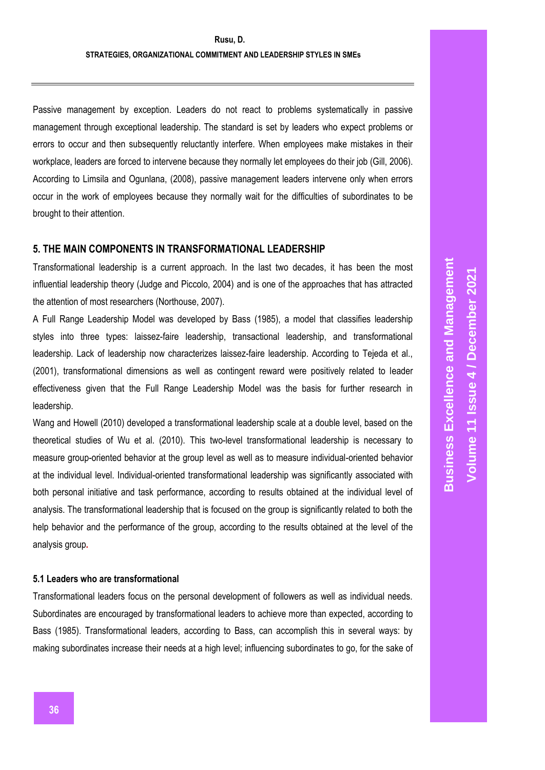Passive management by exception. Leaders do not react to problems systematically in passive management through exceptional leadership. The standard is set by leaders who expect problems or errors to occur and then subsequently reluctantly interfere. When employees make mistakes in their workplace, leaders are forced to intervene because they normally let employees do their job (Gill, 2006). According to Limsila and Ogunlana, (2008), passive management leaders intervene only when errors occur in the work of employees because they normally wait for the difficulties of subordinates to be brought to their attention.

## **5. THE MAIN COMPONENTS IN TRANSFORMATIONAL LEADERSHIP**

Transformational leadership is a current approach. In the last two decades, it has been the most influential leadership theory (Judge and Piccolo, 2004) and is one of the approaches that has attracted the attention of most researchers (Northouse, 2007).

A Full Range Leadership Model was developed by Bass (1985), a model that classifies leadership styles into three types: laissez-faire leadership, transactional leadership, and transformational leadership. Lack of leadership now characterizes laissez-faire leadership. According to Tejeda et al., (2001), transformational dimensions as well as contingent reward were positively related to leader effectiveness given that the Full Range Leadership Model was the basis for further research in leadership.

Wang and Howell (2010) developed a transformational leadership scale at a double level, based on the theoretical studies of Wu et al. (2010). This two-level transformational leadership is necessary to measure group-oriented behavior at the group level as well as to measure individual-oriented behavior at the individual level. Individual-oriented transformational leadership was significantly associated with both personal initiative and task performance, according to results obtained at the individual level of analysis. The transformational leadership that is focused on the group is significantly related to both the help behavior and the performance of the group, according to the results obtained at the level of the analysis group**.** 

#### **5.1 Leaders who are transformational**

Transformational leaders focus on the personal development of followers as well as individual needs. Subordinates are encouraged by transformational leaders to achieve more than expected, according to Bass (1985). Transformational leaders, according to Bass, can accomplish this in several ways: by making subordinates increase their needs at a high level; influencing subordinates to go, for the sake of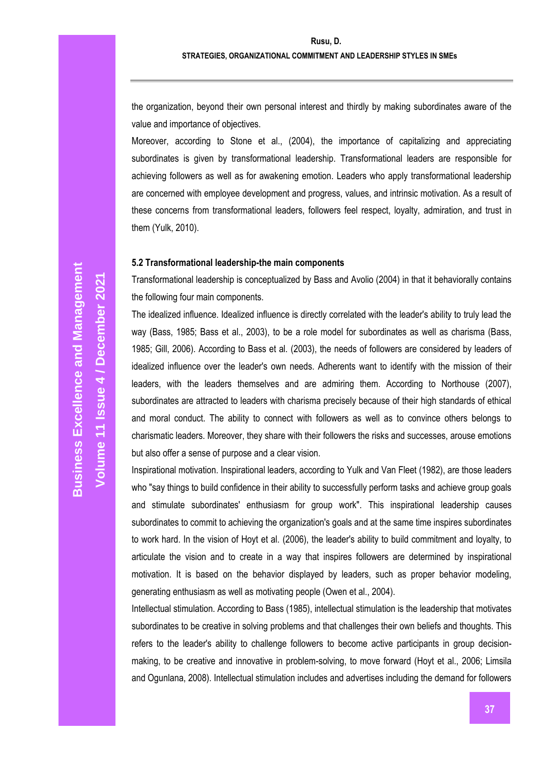the organization, beyond their own personal interest and thirdly by making subordinates aware of the value and importance of objectives.

Moreover, according to Stone et al., (2004), the importance of capitalizing and appreciating subordinates is given by transformational leadership. Transformational leaders are responsible for achieving followers as well as for awakening emotion. Leaders who apply transformational leadership are concerned with employee development and progress, values, and intrinsic motivation. As a result of these concerns from transformational leaders, followers feel respect, loyalty, admiration, and trust in them (Yulk, 2010).

#### **5.2 Transformational leadership-the main components**

Transformational leadership is conceptualized by Bass and Avolio (2004) in that it behaviorally contains the following four main components.

The idealized influence. Idealized influence is directly correlated with the leader's ability to truly lead the way (Bass, 1985; Bass et al., 2003), to be a role model for subordinates as well as charisma (Bass, 1985; Gill, 2006). According to Bass et al. (2003), the needs of followers are considered by leaders of idealized influence over the leader's own needs. Adherents want to identify with the mission of their leaders, with the leaders themselves and are admiring them. According to Northouse (2007), subordinates are attracted to leaders with charisma precisely because of their high standards of ethical and moral conduct. The ability to connect with followers as well as to convince others belongs to charismatic leaders. Moreover, they share with their followers the risks and successes, arouse emotions but also offer a sense of purpose and a clear vision.

Inspirational motivation. Inspirational leaders, according to Yulk and Van Fleet (1982), are those leaders who "say things to build confidence in their ability to successfully perform tasks and achieve group goals and stimulate subordinates' enthusiasm for group work". This inspirational leadership causes subordinates to commit to achieving the organization's goals and at the same time inspires subordinates to work hard. In the vision of Hoyt et al. (2006), the leader's ability to build commitment and loyalty, to articulate the vision and to create in a way that inspires followers are determined by inspirational motivation. It is based on the behavior displayed by leaders, such as proper behavior modeling, generating enthusiasm as well as motivating people (Owen et al., 2004).

Intellectual stimulation. According to Bass (1985), intellectual stimulation is the leadership that motivates subordinates to be creative in solving problems and that challenges their own beliefs and thoughts. This refers to the leader's ability to challenge followers to become active participants in group decisionmaking, to be creative and innovative in problem-solving, to move forward (Hoyt et al., 2006; Limsila and Ogunlana, 2008). Intellectual stimulation includes and advertises including the demand for followers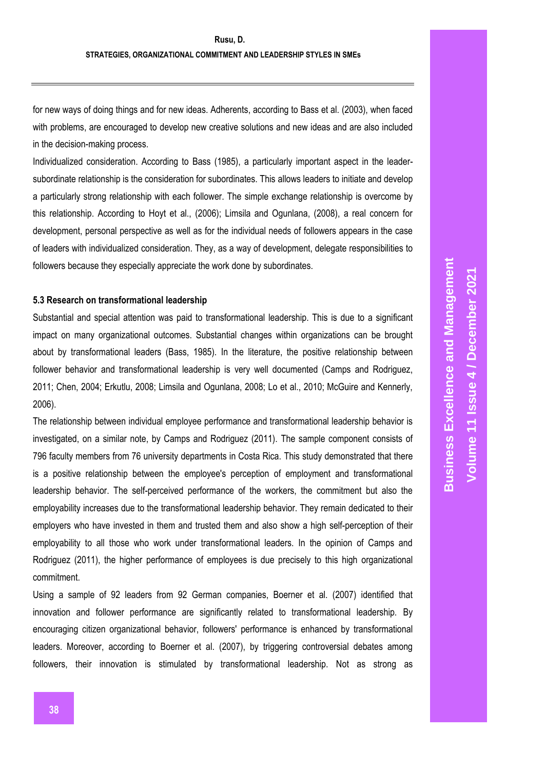for new ways of doing things and for new ideas. Adherents, according to Bass et al. (2003), when faced with problems, are encouraged to develop new creative solutions and new ideas and are also included in the decision-making process.

Individualized consideration. According to Bass (1985), a particularly important aspect in the leadersubordinate relationship is the consideration for subordinates. This allows leaders to initiate and develop a particularly strong relationship with each follower. The simple exchange relationship is overcome by this relationship. According to Hoyt et al., (2006); Limsila and Ogunlana, (2008), a real concern for development, personal perspective as well as for the individual needs of followers appears in the case of leaders with individualized consideration. They, as a way of development, delegate responsibilities to followers because they especially appreciate the work done by subordinates.

#### **5.3 Research on transformational leadership**

Substantial and special attention was paid to transformational leadership. This is due to a significant impact on many organizational outcomes. Substantial changes within organizations can be brought about by transformational leaders (Bass, 1985). In the literature, the positive relationship between follower behavior and transformational leadership is very well documented (Camps and Rodriguez, 2011; Chen, 2004; Erkutlu, 2008; Limsila and Ogunlana, 2008; Lo et al., 2010; McGuire and Kennerly, 2006).

The relationship between individual employee performance and transformational leadership behavior is investigated, on a similar note, by Camps and Rodriguez (2011). The sample component consists of 796 faculty members from 76 university departments in Costa Rica. This study demonstrated that there is a positive relationship between the employee's perception of employment and transformational leadership behavior. The self-perceived performance of the workers, the commitment but also the employability increases due to the transformational leadership behavior. They remain dedicated to their employers who have invested in them and trusted them and also show a high self-perception of their employability to all those who work under transformational leaders. In the opinion of Camps and Rodriguez (2011), the higher performance of employees is due precisely to this high organizational commitment.

Using a sample of 92 leaders from 92 German companies, Boerner et al. (2007) identified that innovation and follower performance are significantly related to transformational leadership. By encouraging citizen organizational behavior, followers' performance is enhanced by transformational leaders. Moreover, according to Boerner et al. (2007), by triggering controversial debates among followers, their innovation is stimulated by transformational leadership. Not as strong as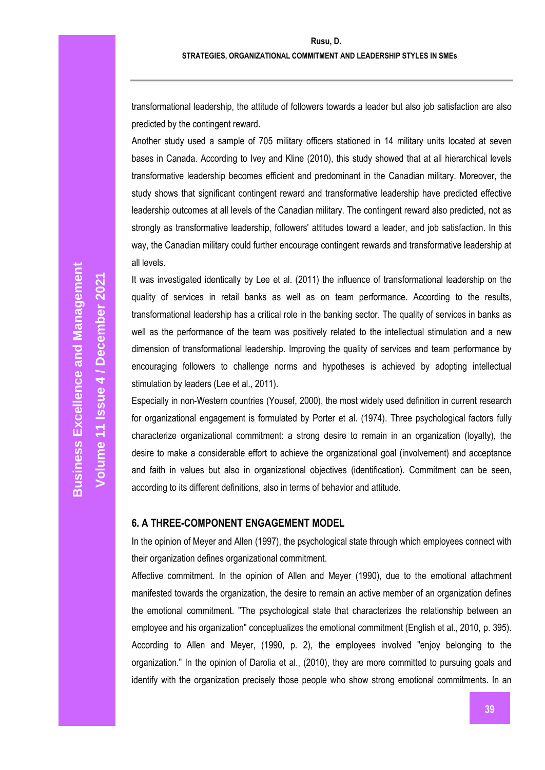transformational leadership, the attitude of followers towards a leader but also job satisfaction are also predicted by the contingent reward.

Another study used a sample of 705 military officers stationed in 14 military units located at seven bases in Canada. According to Ivey and Kline (2010), this study showed that at all hierarchical levels transformative leadership becomes efficient and predominant in the Canadian military. Moreover, the study shows that significant contingent reward and transformative leadership have predicted effective leadership outcomes at all levels of the Canadian military. The contingent reward also predicted, not as strongly as transformative leadership, followers' attitudes toward a leader, and job satisfaction. In this way, the Canadian military could further encourage contingent rewards and transformative leadership at all levels.

It was investigated identically by Lee et al. (2011) the influence of transformational leadership on the quality of services in retail banks as well as on team performance. According to the results, transformational leadership has a critical role in the banking sector. The quality of services in banks as well as the performance of the team was positively related to the intellectual stimulation and a new dimension of transformational leadership. Improving the quality of services and team performance by encouraging followers to challenge norms and hypotheses is achieved by adopting intellectual stimulation by leaders (Lee et al., 2011).

Especially in non-Western countries (Yousef, 2000), the most widely used definition in current research for organizational engagement is formulated by Porter et al. (1974). Three psychological factors fully characterize organizational commitment: a strong desire to remain in an organization (loyalty), the desire to make a considerable effort to achieve the organizational goal (involvement) and acceptance and faith in values but also in organizational objectives (identification). Commitment can be seen, according to its different definitions, also in terms of behavior and attitude.

#### **6. A THREE-COMPONENT ENGAGEMENT MODEL**

In the opinion of Meyer and Allen (1997), the psychological state through which employees connect with their organization defines organizational commitment.

Affective commitment. In the opinion of Allen and Meyer (1990), due to the emotional attachment manifested towards the organization, the desire to remain an active member of an organization defines the emotional commitment. "The psychological state that characterizes the relationship between an employee and his organization" conceptualizes the emotional commitment (English et al., 2010, p. 395). According to Allen and Meyer, (1990, p. 2), the employees involved "enjoy belonging to the organization." In the opinion of Darolia et al., (2010), they are more committed to pursuing goals and identify with the organization precisely those people who show strong emotional commitments. In an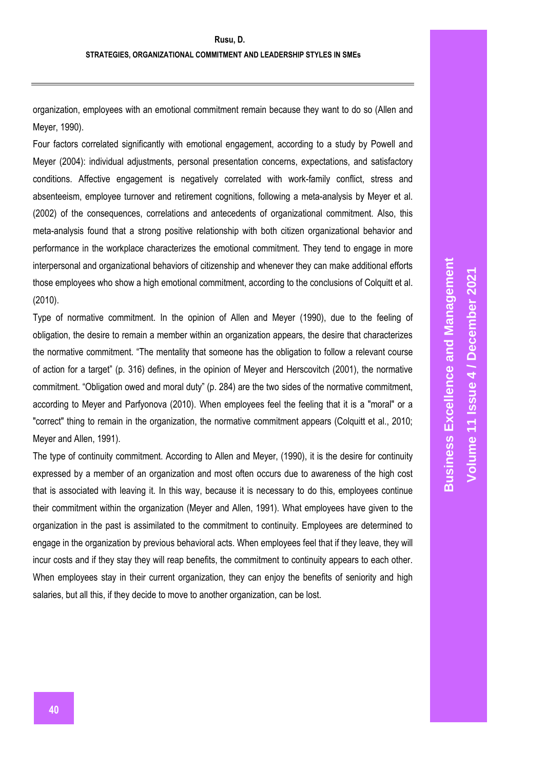organization, employees with an emotional commitment remain because they want to do so (Allen and Meyer, 1990).

Four factors correlated significantly with emotional engagement, according to a study by Powell and Meyer (2004): individual adjustments, personal presentation concerns, expectations, and satisfactory conditions. Affective engagement is negatively correlated with work-family conflict, stress and absenteeism, employee turnover and retirement cognitions, following a meta-analysis by Meyer et al. (2002) of the consequences, correlations and antecedents of organizational commitment. Also, this meta-analysis found that a strong positive relationship with both citizen organizational behavior and performance in the workplace characterizes the emotional commitment. They tend to engage in more interpersonal and organizational behaviors of citizenship and whenever they can make additional efforts those employees who show a high emotional commitment, according to the conclusions of Colquitt et al. (2010).

Type of normative commitment. In the opinion of Allen and Meyer (1990), due to the feeling of obligation, the desire to remain a member within an organization appears, the desire that characterizes the normative commitment. "The mentality that someone has the obligation to follow a relevant course of action for a target" (p. 316) defines, in the opinion of Meyer and Herscovitch (2001), the normative commitment. "Obligation owed and moral duty" (p. 284) are the two sides of the normative commitment, according to Meyer and Parfyonova (2010). When employees feel the feeling that it is a "moral" or a "correct" thing to remain in the organization, the normative commitment appears (Colquitt et al., 2010; Meyer and Allen, 1991).

The type of continuity commitment. According to Allen and Meyer, (1990), it is the desire for continuity expressed by a member of an organization and most often occurs due to awareness of the high cost that is associated with leaving it. In this way, because it is necessary to do this, employees continue their commitment within the organization (Meyer and Allen, 1991). What employees have given to the organization in the past is assimilated to the commitment to continuity. Employees are determined to engage in the organization by previous behavioral acts. When employees feel that if they leave, they will incur costs and if they stay they will reap benefits, the commitment to continuity appears to each other. When employees stay in their current organization, they can enjoy the benefits of seniority and high salaries, but all this, if they decide to move to another organization, can be lost.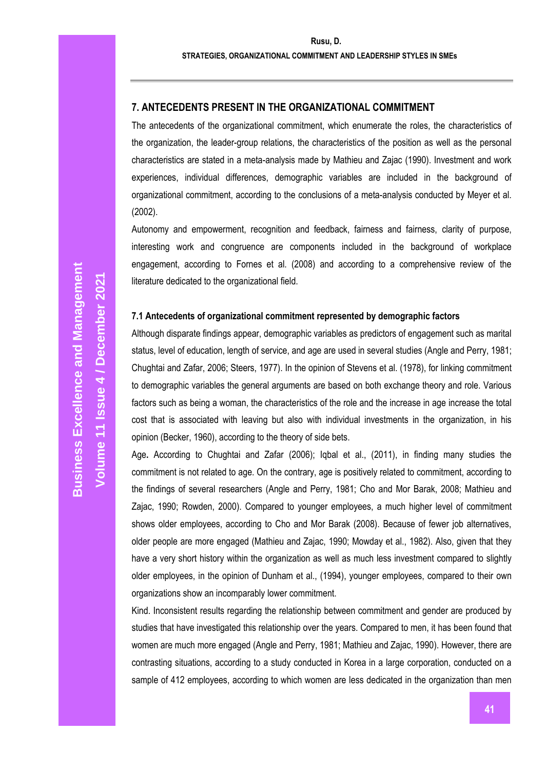**Rusu, D.**

#### **STRATEGIES, ORGANIZATIONAL COMMITMENT AND LEADERSHIP STYLES IN SMEs**

## **7. ANTECEDENTS PRESENT IN THE ORGANIZATIONAL COMMITMENT**

The antecedents of the organizational commitment, which enumerate the roles, the characteristics of the organization, the leader-group relations, the characteristics of the position as well as the personal characteristics are stated in a meta-analysis made by Mathieu and Zajac (1990). Investment and work experiences, individual differences, demographic variables are included in the background of organizational commitment, according to the conclusions of a meta-analysis conducted by Meyer et al. (2002).

Autonomy and empowerment, recognition and feedback, fairness and fairness, clarity of purpose, interesting work and congruence are components included in the background of workplace engagement, according to Fornes et al. (2008) and according to a comprehensive review of the literature dedicated to the organizational field.

## **7.1 Antecedents of organizational commitment represented by demographic factors**

Although disparate findings appear, demographic variables as predictors of engagement such as marital status, level of education, length of service, and age are used in several studies (Angle and Perry, 1981; Chughtai and Zafar, 2006; Steers, 1977). In the opinion of Stevens et al. (1978), for linking commitment to demographic variables the general arguments are based on both exchange theory and role. Various factors such as being a woman, the characteristics of the role and the increase in age increase the total cost that is associated with leaving but also with individual investments in the organization, in his opinion (Becker, 1960), according to the theory of side bets.

Age**.** According to Chughtai and Zafar (2006); Iqbal et al., (2011), in finding many studies the commitment is not related to age. On the contrary, age is positively related to commitment, according to the findings of several researchers (Angle and Perry, 1981; Cho and Mor Barak, 2008; Mathieu and Zajac, 1990; Rowden, 2000). Compared to younger employees, a much higher level of commitment shows older employees, according to Cho and Mor Barak (2008). Because of fewer job alternatives, older people are more engaged (Mathieu and Zajac, 1990; Mowday et al., 1982). Also, given that they have a very short history within the organization as well as much less investment compared to slightly older employees, in the opinion of Dunham et al., (1994), younger employees, compared to their own organizations show an incomparably lower commitment.

Kind. Inconsistent results regarding the relationship between commitment and gender are produced by studies that have investigated this relationship over the years. Compared to men, it has been found that women are much more engaged (Angle and Perry, 1981; Mathieu and Zajac, 1990). However, there are contrasting situations, according to a study conducted in Korea in a large corporation, conducted on a sample of 412 employees, according to which women are less dedicated in the organization than men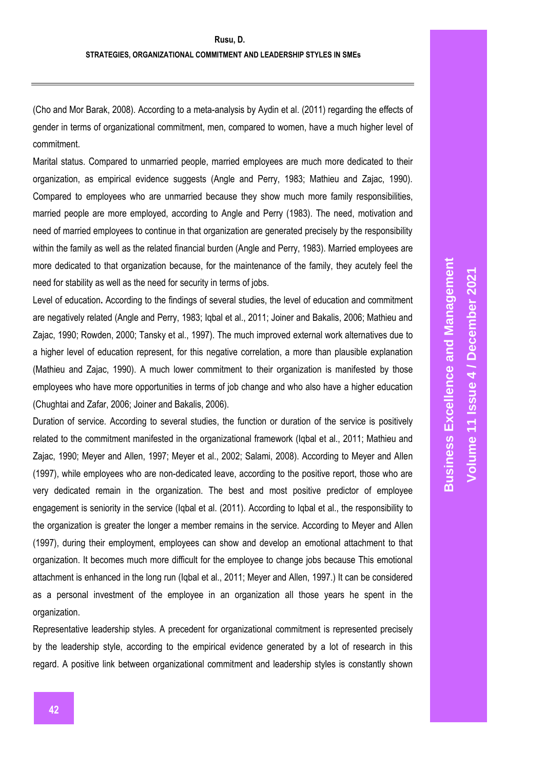(Cho and Mor Barak, 2008). According to a meta-analysis by Aydin et al. (2011) regarding the effects of gender in terms of organizational commitment, men, compared to women, have a much higher level of commitment.

Marital status. Compared to unmarried people, married employees are much more dedicated to their organization, as empirical evidence suggests (Angle and Perry, 1983; Mathieu and Zajac, 1990). Compared to employees who are unmarried because they show much more family responsibilities, married people are more employed, according to Angle and Perry (1983). The need, motivation and need of married employees to continue in that organization are generated precisely by the responsibility within the family as well as the related financial burden (Angle and Perry, 1983). Married employees are more dedicated to that organization because, for the maintenance of the family, they acutely feel the need for stability as well as the need for security in terms of jobs.

Level of education**.** According to the findings of several studies, the level of education and commitment are negatively related (Angle and Perry, 1983; Iqbal et al., 2011; Joiner and Bakalis, 2006; Mathieu and Zajac, 1990; Rowden, 2000; Tansky et al., 1997). The much improved external work alternatives due to a higher level of education represent, for this negative correlation, a more than plausible explanation (Mathieu and Zajac, 1990). A much lower commitment to their organization is manifested by those employees who have more opportunities in terms of job change and who also have a higher education (Chughtai and Zafar, 2006; Joiner and Bakalis, 2006).

Duration of service. According to several studies, the function or duration of the service is positively related to the commitment manifested in the organizational framework (Iqbal et al., 2011; Mathieu and Zajac, 1990; Meyer and Allen, 1997; Meyer et al., 2002; Salami, 2008). According to Meyer and Allen (1997), while employees who are non-dedicated leave, according to the positive report, those who are very dedicated remain in the organization. The best and most positive predictor of employee engagement is seniority in the service (Iqbal et al. (2011). According to Iqbal et al., the responsibility to the organization is greater the longer a member remains in the service. According to Meyer and Allen (1997), during their employment, employees can show and develop an emotional attachment to that organization. It becomes much more difficult for the employee to change jobs because This emotional attachment is enhanced in the long run (Iqbal et al., 2011; Meyer and Allen, 1997.) It can be considered as a personal investment of the employee in an organization all those years he spent in the organization.

Representative leadership styles. A precedent for organizational commitment is represented precisely by the leadership style, according to the empirical evidence generated by a lot of research in this regard. A positive link between organizational commitment and leadership styles is constantly shown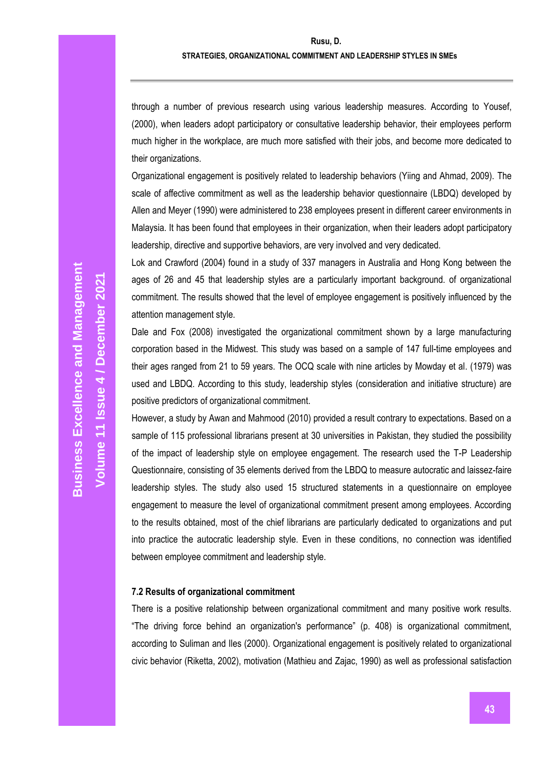#### **STRATEGIES, ORGANIZATIONAL COMMITMENT AND LEADERSHIP STYLES IN SMEs**

through a number of previous research using various leadership measures. According to Yousef, (2000), when leaders adopt participatory or consultative leadership behavior, their employees perform much higher in the workplace, are much more satisfied with their jobs, and become more dedicated to their organizations.

Organizational engagement is positively related to leadership behaviors (Yiing and Ahmad, 2009). The scale of affective commitment as well as the leadership behavior questionnaire (LBDQ) developed by Allen and Meyer (1990) were administered to 238 employees present in different career environments in Malaysia. It has been found that employees in their organization, when their leaders adopt participatory leadership, directive and supportive behaviors, are very involved and very dedicated.

Lok and Crawford (2004) found in a study of 337 managers in Australia and Hong Kong between the ages of 26 and 45 that leadership styles are a particularly important background. of organizational commitment. The results showed that the level of employee engagement is positively influenced by the attention management style.

Dale and Fox (2008) investigated the organizational commitment shown by a large manufacturing corporation based in the Midwest. This study was based on a sample of 147 full-time employees and their ages ranged from 21 to 59 years. The OCQ scale with nine articles by Mowday et al. (1979) was used and LBDQ. According to this study, leadership styles (consideration and initiative structure) are positive predictors of organizational commitment.

However, a study by Awan and Mahmood (2010) provided a result contrary to expectations. Based on a sample of 115 professional librarians present at 30 universities in Pakistan, they studied the possibility of the impact of leadership style on employee engagement. The research used the T-P Leadership Questionnaire, consisting of 35 elements derived from the LBDQ to measure autocratic and laissez-faire leadership styles. The study also used 15 structured statements in a questionnaire on employee engagement to measure the level of organizational commitment present among employees. According to the results obtained, most of the chief librarians are particularly dedicated to organizations and put into practice the autocratic leadership style. Even in these conditions, no connection was identified between employee commitment and leadership style.

#### **7.2 Results of organizational commitment**

There is a positive relationship between organizational commitment and many positive work results. "The driving force behind an organization's performance" (p. 408) is organizational commitment, according to Suliman and Iles (2000). Organizational engagement is positively related to organizational civic behavior (Riketta, 2002), motivation (Mathieu and Zajac, 1990) as well as professional satisfaction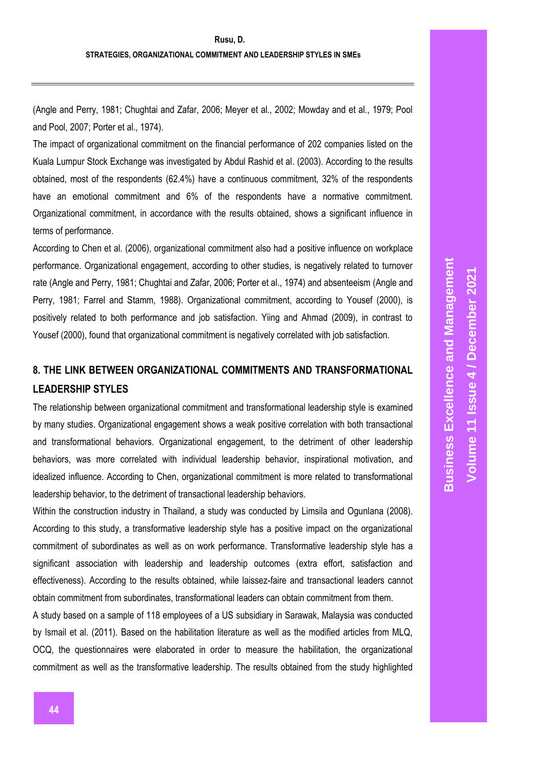(Angle and Perry, 1981; Chughtai and Zafar, 2006; Meyer et al., 2002; Mowday and et al., 1979; Pool and Pool, 2007; Porter et al., 1974).

The impact of organizational commitment on the financial performance of 202 companies listed on the Kuala Lumpur Stock Exchange was investigated by Abdul Rashid et al. (2003). According to the results obtained, most of the respondents (62.4%) have a continuous commitment, 32% of the respondents have an emotional commitment and 6% of the respondents have a normative commitment. Organizational commitment, in accordance with the results obtained, shows a significant influence in terms of performance.

According to Chen et al. (2006), organizational commitment also had a positive influence on workplace performance. Organizational engagement, according to other studies, is negatively related to turnover rate (Angle and Perry, 1981; Chughtai and Zafar, 2006; Porter et al., 1974) and absenteeism (Angle and Perry, 1981; Farrel and Stamm, 1988). Organizational commitment, according to Yousef (2000), is positively related to both performance and job satisfaction. Yiing and Ahmad (2009), in contrast to Yousef (2000), found that organizational commitment is negatively correlated with job satisfaction.

## **8. THE LINK BETWEEN ORGANIZATIONAL COMMITMENTS AND TRANSFORMATIONAL LEADERSHIP STYLES**

The relationship between organizational commitment and transformational leadership style is examined by many studies. Organizational engagement shows a weak positive correlation with both transactional and transformational behaviors. Organizational engagement, to the detriment of other leadership behaviors, was more correlated with individual leadership behavior, inspirational motivation, and idealized influence. According to Chen, organizational commitment is more related to transformational leadership behavior, to the detriment of transactional leadership behaviors.

Within the construction industry in Thailand, a study was conducted by Limsila and Ogunlana (2008). According to this study, a transformative leadership style has a positive impact on the organizational commitment of subordinates as well as on work performance. Transformative leadership style has a significant association with leadership and leadership outcomes (extra effort, satisfaction and effectiveness). According to the results obtained, while laissez-faire and transactional leaders cannot obtain commitment from subordinates, transformational leaders can obtain commitment from them.

A study based on a sample of 118 employees of a US subsidiary in Sarawak, Malaysia was conducted by Ismail et al. (2011). Based on the habilitation literature as well as the modified articles from MLQ, OCQ, the questionnaires were elaborated in order to measure the habilitation, the organizational commitment as well as the transformative leadership. The results obtained from the study highlighted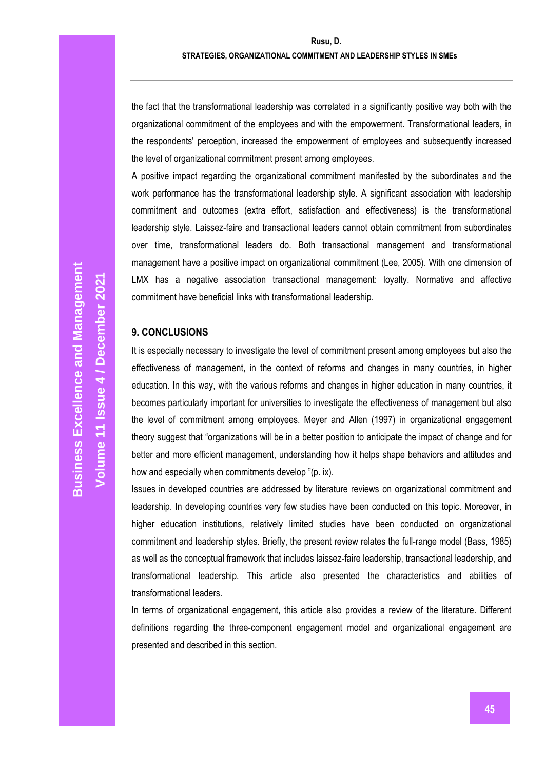the fact that the transformational leadership was correlated in a significantly positive way both with the organizational commitment of the employees and with the empowerment. Transformational leaders, in the respondents' perception, increased the empowerment of employees and subsequently increased the level of organizational commitment present among employees.

A positive impact regarding the organizational commitment manifested by the subordinates and the work performance has the transformational leadership style. A significant association with leadership commitment and outcomes (extra effort, satisfaction and effectiveness) is the transformational leadership style. Laissez-faire and transactional leaders cannot obtain commitment from subordinates over time, transformational leaders do. Both transactional management and transformational management have a positive impact on organizational commitment (Lee, 2005). With one dimension of LMX has a negative association transactional management: loyalty. Normative and affective commitment have beneficial links with transformational leadership.

## **9. CONCLUSIONS**

It is especially necessary to investigate the level of commitment present among employees but also the effectiveness of management, in the context of reforms and changes in many countries, in higher education. In this way, with the various reforms and changes in higher education in many countries, it becomes particularly important for universities to investigate the effectiveness of management but also the level of commitment among employees. Meyer and Allen (1997) in organizational engagement theory suggest that "organizations will be in a better position to anticipate the impact of change and for better and more efficient management, understanding how it helps shape behaviors and attitudes and how and especially when commitments develop "(p. ix).

Issues in developed countries are addressed by literature reviews on organizational commitment and leadership. In developing countries very few studies have been conducted on this topic. Moreover, in higher education institutions, relatively limited studies have been conducted on organizational commitment and leadership styles. Briefly, the present review relates the full-range model (Bass, 1985) as well as the conceptual framework that includes laissez-faire leadership, transactional leadership, and transformational leadership. This article also presented the characteristics and abilities of transformational leaders.

In terms of organizational engagement, this article also provides a review of the literature. Different definitions regarding the three-component engagement model and organizational engagement are presented and described in this section.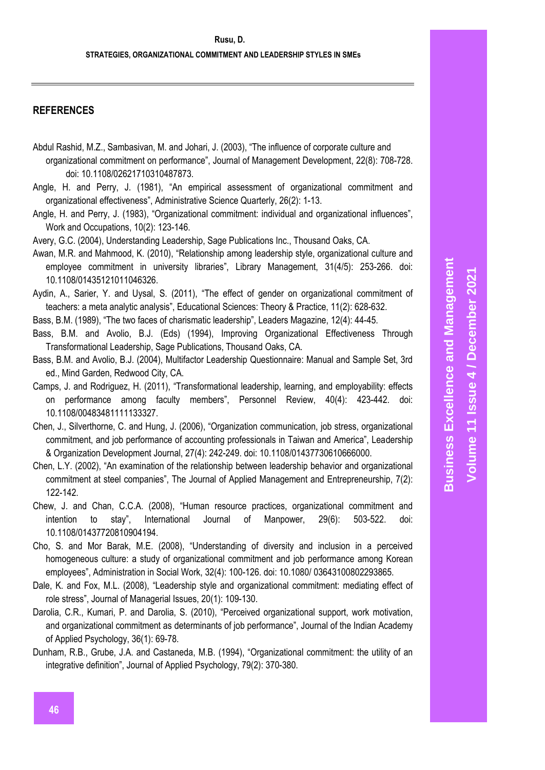## **REFERENCES**

- Abdul Rashid, M.Z., Sambasivan, M. and Johari, J. (2003), "The influence of corporate culture and organizational commitment on performance", Journal of Management Development, 22(8): 708-728. doi: 10.1108/02621710310487873.
- Angle, H. and Perry, J. (1981), "An empirical assessment of organizational commitment and organizational effectiveness", Administrative Science Quarterly, 26(2): 1-13.
- Angle, H. and Perry, J. (1983), "Organizational commitment: individual and organizational influences", Work and Occupations, 10(2): 123-146.
- Avery, G.C. (2004), Understanding Leadership, Sage Publications Inc., Thousand Oaks, CA.
- Awan, M.R. and Mahmood, K. (2010), "Relationship among leadership style, organizational culture and employee commitment in university libraries", Library Management, 31(4/5): 253-266. doi: 10.1108/01435121011046326.
- Aydin, A., Sarier, Y. and Uysal, S. (2011), "The effect of gender on organizational commitment of teachers: a meta analytic analysis", Educational Sciences: Theory & Practice, 11(2): 628-632.
- Bass, B.M. (1989), "The two faces of charismatic leadership", Leaders Magazine, 12(4): 44-45.
- Bass, B.M. and Avolio, B.J. (Eds) (1994), Improving Organizational Effectiveness Through Transformational Leadership, Sage Publications, Thousand Oaks, CA.
- Bass, B.M. and Avolio, B.J. (2004), Multifactor Leadership Questionnaire: Manual and Sample Set, 3rd ed., Mind Garden, Redwood City, CA.
- Camps, J. and Rodriguez, H. (2011), "Transformational leadership, learning, and employability: effects on performance among faculty members", Personnel Review, 40(4): 423-442. doi: 10.1108/00483481111133327.
- Chen, J., Silverthorne, C. and Hung, J. (2006), "Organization communication, job stress, organizational commitment, and job performance of accounting professionals in Taiwan and America", Leadership & Organization Development Journal, 27(4): 242-249. doi: 10.1108/01437730610666000.
- Chen, L.Y. (2002), "An examination of the relationship between leadership behavior and organizational commitment at steel companies", The Journal of Applied Management and Entrepreneurship, 7(2): 122-142.
- Chew, J. and Chan, C.C.A. (2008), "Human resource practices, organizational commitment and intention to stay", International Journal of Manpower, 29(6): 503-522. doi: 10.1108/01437720810904194.
- Cho, S. and Mor Barak, M.E. (2008), "Understanding of diversity and inclusion in a perceived homogeneous culture: a study of organizational commitment and job performance among Korean employees", Administration in Social Work, 32(4): 100-126. doi: 10.1080/ 03643100802293865.
- Dale, K. and Fox, M.L. (2008), "Leadership style and organizational commitment: mediating effect of role stress", Journal of Managerial Issues, 20(1): 109-130.
- Darolia, C.R., Kumari, P. and Darolia, S. (2010), "Perceived organizational support, work motivation, and organizational commitment as determinants of job performance", Journal of the Indian Academy of Applied Psychology, 36(1): 69-78.
- Dunham, R.B., Grube, J.A. and Castaneda, M.B. (1994), "Organizational commitment: the utility of an integrative definition", Journal of Applied Psychology, 79(2): 370-380.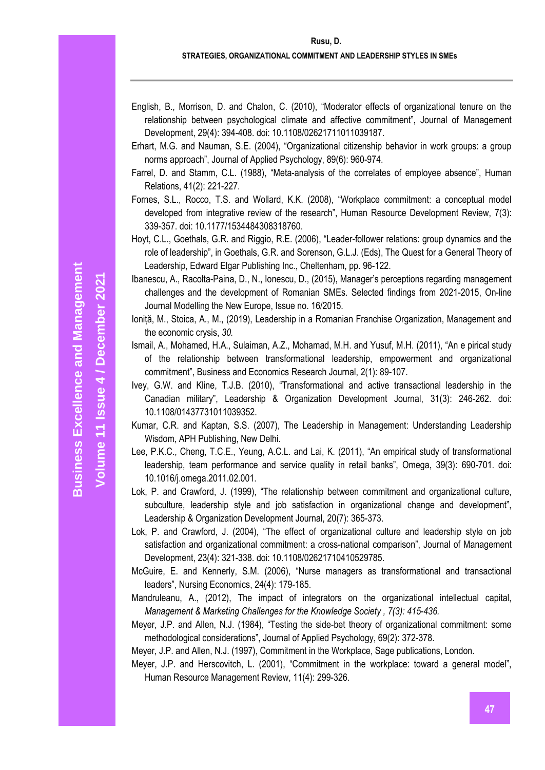**Volume 11 Issue** 

**/ December 2021**

#### **Rusu, D.**

#### **STRATEGIES, ORGANIZATIONAL COMMITMENT AND LEADERSHIP STYLES IN SMEs**

- English, B., Morrison, D. and Chalon, C. (2010), "Moderator effects of organizational tenure on the relationship between psychological climate and affective commitment", Journal of Management Development, 29(4): 394-408. doi: 10.1108/02621711011039187.
- Erhart, M.G. and Nauman, S.E. (2004), "Organizational citizenship behavior in work groups: a group norms approach", Journal of Applied Psychology, 89(6): 960-974.
- Farrel, D. and Stamm, C.L. (1988), "Meta-analysis of the correlates of employee absence", Human Relations, 41(2): 221-227.
- Fornes, S.L., Rocco, T.S. and Wollard, K.K. (2008), "Workplace commitment: a conceptual model developed from integrative review of the research", Human Resource Development Review, 7(3): 339-357. doi: 10.1177/1534484308318760.
- Hoyt, C.L., Goethals, G.R. and Riggio, R.E. (2006), "Leader-follower relations: group dynamics and the role of leadership", in Goethals, G.R. and Sorenson, G.L.J. (Eds), The Quest for a General Theory of Leadership, Edward Elgar Publishing Inc., Cheltenham, pp. 96-122.
- Ibanescu, A., Racolta-Paina, D., N., Ionescu, D., (2015), Manager's perceptions regarding management challenges and the development of Romanian SMEs. Selected findings from 2021-2015, On-line Journal Modelling the New Europe, Issue no. 16/2015.
- Ioniță, M., Stoica, A., M., (2019), Leadership in a Romanian Franchise Organization, Management and the economic crysis, *30.*
- Ismail, A., Mohamed, H.A., Sulaiman, A.Z., Mohamad, M.H. and Yusuf, M.H. (2011), "An e pirical study of the relationship between transformational leadership, empowerment and organizational commitment", Business and Economics Research Journal, 2(1): 89-107.
- Ivey, G.W. and Kline, T.J.B. (2010), "Transformational and active transactional leadership in the Canadian military", Leadership & Organization Development Journal, 31(3): 246-262. doi: 10.1108/01437731011039352.
- Kumar, C.R. and Kaptan, S.S. (2007), The Leadership in Management: Understanding Leadership Wisdom, APH Publishing, New Delhi.
- Lee, P.K.C., Cheng, T.C.E., Yeung, A.C.L. and Lai, K. (2011), "An empirical study of transformational leadership, team performance and service quality in retail banks", Omega, 39(3): 690-701. doi: 10.1016/j.omega.2011.02.001.
- Lok, P. and Crawford, J. (1999), "The relationship between commitment and organizational culture, subculture, leadership style and job satisfaction in organizational change and development", Leadership & Organization Development Journal, 20(7): 365-373.
- Lok, P. and Crawford, J. (2004), "The effect of organizational culture and leadership style on job satisfaction and organizational commitment: a cross-national comparison", Journal of Management Development, 23(4): 321-338. doi: 10.1108/02621710410529785.
- McGuire, E. and Kennerly, S.M. (2006), "Nurse managers as transformational and transactional leaders", Nursing Economics, 24(4): 179-185.
- Mandruleanu, A., (2012), The impact of integrators on the organizational intellectual capital, *Management & Marketing Challenges for the Knowledge Society , 7(3): 415-436.*
- Meyer, J.P. and Allen, N.J. (1984), "Testing the side-bet theory of organizational commitment: some methodological considerations", Journal of Applied Psychology, 69(2): 372-378.

Meyer, J.P. and Allen, N.J. (1997), Commitment in the Workplace, Sage publications, London.

Meyer, J.P. and Herscovitch, L. (2001), "Commitment in the workplace: toward a general model", Human Resource Management Review, 11(4): 299-326.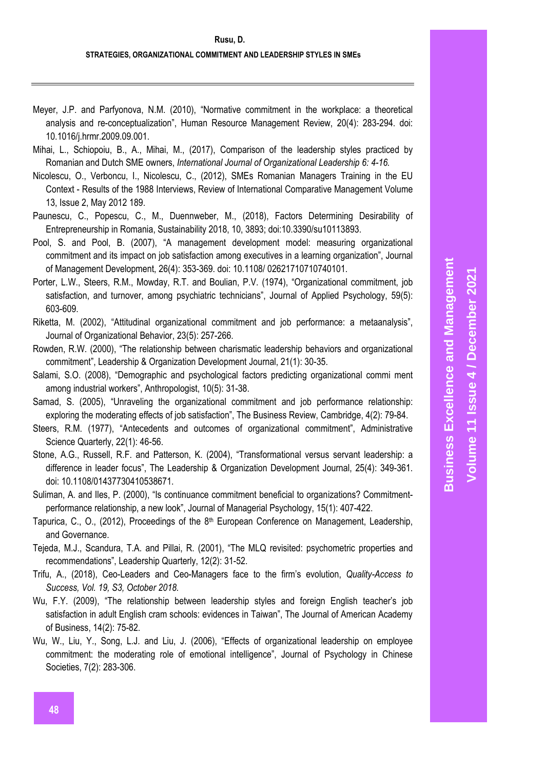- Meyer, J.P. and Parfyonova, N.M. (2010), "Normative commitment in the workplace: a theoretical analysis and re-conceptualization", Human Resource Management Review, 20(4): 283-294. doi: 10.1016/j.hrmr.2009.09.001.
- Mihai, L., Schiopoiu, B., A., Mihai, M., (2017), Comparison of the leadership styles practiced by Romanian and Dutch SME owners, *International Journal of Organizational Leadership 6: 4-16.*
- Nicolescu, O., Verboncu, I., Nicolescu, C., (2012), SMEs Romanian Managers Training in the EU Context - Results of the 1988 Interviews, Review of International Comparative Management Volume 13, Issue 2, May 2012 189.
- Paunescu, C., Popescu, C., M., Duennweber, M., (2018), Factors Determining Desirability of Entrepreneurship in Romania, Sustainability 2018, 10, 3893; doi:10.3390/su10113893.
- Pool, S. and Pool, B. (2007), "A management development model: measuring organizational commitment and its impact on job satisfaction among executives in a learning organization", Journal of Management Development, 26(4): 353-369. doi: 10.1108/ 02621710710740101.
- Porter, L.W., Steers, R.M., Mowday, R.T. and Boulian, P.V. (1974), "Organizational commitment, job satisfaction, and turnover, among psychiatric technicians", Journal of Applied Psychology, 59(5): 603-609.
- Riketta, M. (2002), "Attitudinal organizational commitment and job performance: a metaanalysis", Journal of Organizational Behavior, 23(5): 257-266.
- Rowden, R.W. (2000), "The relationship between charismatic leadership behaviors and organizational commitment", Leadership & Organization Development Journal, 21(1): 30-35.
- Salami, S.O. (2008), "Demographic and psychological factors predicting organizational commi ment among industrial workers", Anthropologist, 10(5): 31-38.
- Samad, S. (2005), "Unraveling the organizational commitment and job performance relationship: exploring the moderating effects of job satisfaction", The Business Review, Cambridge, 4(2): 79-84.
- Steers, R.M. (1977), "Antecedents and outcomes of organizational commitment", Administrative Science Quarterly, 22(1): 46-56.
- Stone, A.G., Russell, R.F. and Patterson, K. (2004), "Transformational versus servant leadership: a difference in leader focus", The Leadership & Organization Development Journal, 25(4): 349-361. doi: 10.1108/01437730410538671.
- Suliman, A. and Iles, P. (2000), "Is continuance commitment beneficial to organizations? Commitmentperformance relationship, a new look", Journal of Managerial Psychology, 15(1): 407-422.
- Tapurica, C., O., (2012), Proceedings of the  $8<sup>th</sup>$  European Conference on Management, Leadership, and Governance.
- Tejeda, M.J., Scandura, T.A. and Pillai, R. (2001), "The MLQ revisited: psychometric properties and recommendations", Leadership Quarterly, 12(2): 31-52.
- Trifu, A., (2018), Ceo-Leaders and Ceo-Managers face to the firm's evolution, *Quality-Access to Success, Vol. 19, S3, October 2018.*
- Wu, F.Y. (2009), "The relationship between leadership styles and foreign English teacher's job satisfaction in adult English cram schools: evidences in Taiwan", The Journal of American Academy of Business, 14(2): 75-82.
- Wu, W., Liu, Y., Song, L.J. and Liu, J. (2006), "Effects of organizational leadership on employee commitment: the moderating role of emotional intelligence", Journal of Psychology in Chinese Societies, 7(2): 283-306.